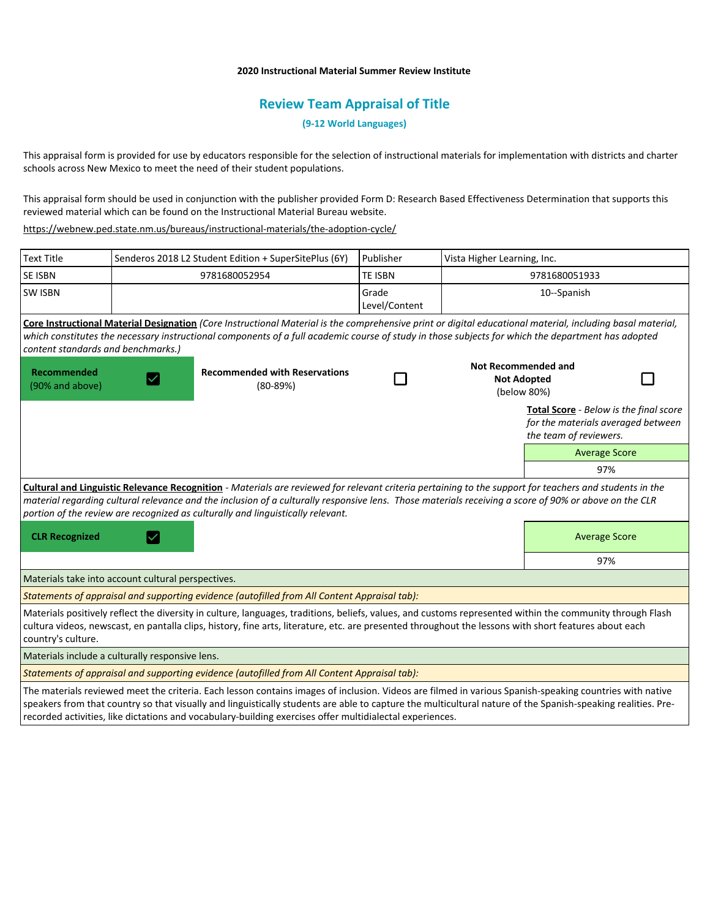## **2020 Instructional Material Summer Review Institute**

# **Review Team Appraisal of Title**

**(9-12 World Languages)**

This appraisal form is provided for use by educators responsible for the selection of instructional materials for implementation with districts and charter schools across New Mexico to meet the need of their student populations.

This appraisal form should be used in conjunction with the publisher provided Form D: Research Based Effectiveness Determination that supports this reviewed material which can be found on the Instructional Material Bureau website.

<https://webnew.ped.state.nm.us/bureaus/instructional-materials/the-adoption-cycle/>

| <b>Text Title</b>                                                                                                                                                                                                                                                                                                                                                                                   |               | Senderos 2018 L2 Student Edition + SuperSitePlus (6Y) | Publisher              | Vista Higher Learning, Inc.                                     |                                                                                                               |
|-----------------------------------------------------------------------------------------------------------------------------------------------------------------------------------------------------------------------------------------------------------------------------------------------------------------------------------------------------------------------------------------------------|---------------|-------------------------------------------------------|------------------------|-----------------------------------------------------------------|---------------------------------------------------------------------------------------------------------------|
| SE ISBN                                                                                                                                                                                                                                                                                                                                                                                             | 9781680052954 |                                                       | TE ISBN                | 9781680051933                                                   |                                                                                                               |
| <b>SW ISBN</b>                                                                                                                                                                                                                                                                                                                                                                                      |               |                                                       | Grade<br>Level/Content |                                                                 | 10--Spanish                                                                                                   |
| Core Instructional Material Designation (Core Instructional Material is the comprehensive print or digital educational material, including basal material,<br>which constitutes the necessary instructional components of a full academic course of study in those subjects for which the department has adopted<br>content standards and benchmarks.)                                              |               |                                                       |                        |                                                                 |                                                                                                               |
| <b>Recommended</b><br>(90% and above)                                                                                                                                                                                                                                                                                                                                                               |               | <b>Recommended with Reservations</b><br>$(80-89%)$    |                        | <b>Not Recommended and</b><br><b>Not Adopted</b><br>(below 80%) |                                                                                                               |
|                                                                                                                                                                                                                                                                                                                                                                                                     |               |                                                       |                        |                                                                 | <b>Total Score</b> - Below is the final score<br>for the materials averaged between<br>the team of reviewers. |
|                                                                                                                                                                                                                                                                                                                                                                                                     |               |                                                       |                        |                                                                 | <b>Average Score</b>                                                                                          |
|                                                                                                                                                                                                                                                                                                                                                                                                     |               |                                                       |                        |                                                                 | 97%                                                                                                           |
| Cultural and Linguistic Relevance Recognition - Materials are reviewed for relevant criteria pertaining to the support for teachers and students in the<br>material regarding cultural relevance and the inclusion of a culturally responsive lens. Those materials receiving a score of 90% or above on the CLR<br>portion of the review are recognized as culturally and linguistically relevant. |               |                                                       |                        |                                                                 |                                                                                                               |
| <b>CLR Recognized</b><br>$\checkmark$                                                                                                                                                                                                                                                                                                                                                               |               |                                                       |                        |                                                                 | <b>Average Score</b>                                                                                          |
|                                                                                                                                                                                                                                                                                                                                                                                                     |               |                                                       |                        |                                                                 | 97%                                                                                                           |
| Materials take into account cultural perspectives.                                                                                                                                                                                                                                                                                                                                                  |               |                                                       |                        |                                                                 |                                                                                                               |
| Statements of appraisal and supporting evidence (autofilled from All Content Appraisal tab):                                                                                                                                                                                                                                                                                                        |               |                                                       |                        |                                                                 |                                                                                                               |
| Materials positively reflect the diversity in culture, languages, traditions, beliefs, values, and customs represented within the community through Flash<br>cultura videos, newscast, en pantalla clips, history, fine arts, literature, etc. are presented throughout the lessons with short features about each<br>country's culture.                                                            |               |                                                       |                        |                                                                 |                                                                                                               |
| Materials include a culturally responsive lens.                                                                                                                                                                                                                                                                                                                                                     |               |                                                       |                        |                                                                 |                                                                                                               |
| Statements of appraisal and supporting evidence (autofilled from All Content Appraisal tab):                                                                                                                                                                                                                                                                                                        |               |                                                       |                        |                                                                 |                                                                                                               |
| The materials reviewed meet the criteria. Each lesson contains images of inclusion. Videos are filmed in various Spanish-speaking countries with native<br>speakers from that country so that visually and linguistically students are able to capture the multicultural nature of the Spanish-speaking realities. Pre-                                                                             |               |                                                       |                        |                                                                 |                                                                                                               |

recorded activities, like dictations and vocabulary-building exercises offer multidialectal experiences.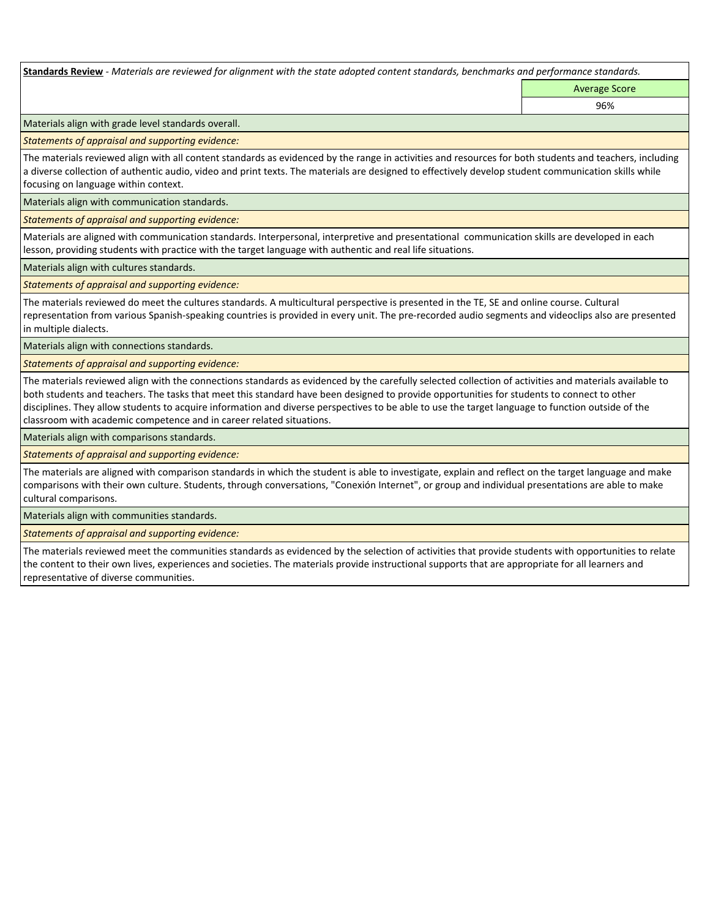**Standards Review** *- Materials are reviewed for alignment with the state adopted content standards, benchmarks and performance standards.*

Average Score 96%

Materials align with grade level standards overall.

*Statements of appraisal and supporting evidence:* 

The materials reviewed align with all content standards as evidenced by the range in activities and resources for both students and teachers, including a diverse collection of authentic audio, video and print texts. The materials are designed to effectively develop student communication skills while focusing on language within context.

Materials align with communication standards.

*Statements of appraisal and supporting evidence:* 

Materials are aligned with communication standards. Interpersonal, interpretive and presentational communication skills are developed in each lesson, providing students with practice with the target language with authentic and real life situations.

Materials align with cultures standards.

*Statements of appraisal and supporting evidence:* 

The materials reviewed do meet the cultures standards. A multicultural perspective is presented in the TE, SE and online course. Cultural representation from various Spanish-speaking countries is provided in every unit. The pre-recorded audio segments and videoclips also are presented in multiple dialects.

Materials align with connections standards.

*Statements of appraisal and supporting evidence:* 

The materials reviewed align with the connections standards as evidenced by the carefully selected collection of activities and materials available to both students and teachers. The tasks that meet this standard have been designed to provide opportunities for students to connect to other disciplines. They allow students to acquire information and diverse perspectives to be able to use the target language to function outside of the classroom with academic competence and in career related situations.

Materials align with comparisons standards.

*Statements of appraisal and supporting evidence:* 

The materials are aligned with comparison standards in which the student is able to investigate, explain and reflect on the target language and make comparisons with their own culture. Students, through conversations, "Conexión Internet", or group and individual presentations are able to make cultural comparisons.

Materials align with communities standards.

*Statements of appraisal and supporting evidence:* 

The materials reviewed meet the communities standards as evidenced by the selection of activities that provide students with opportunities to relate the content to their own lives, experiences and societies. The materials provide instructional supports that are appropriate for all learners and representative of diverse communities.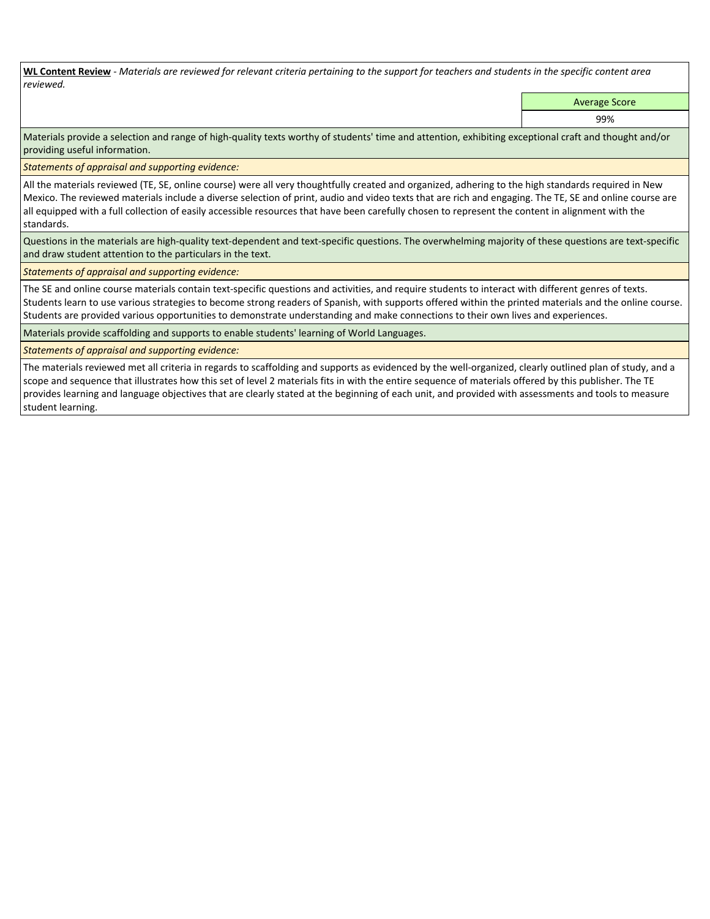**WL Content Review** *- Materials are reviewed for relevant criteria pertaining to the support for teachers and students in the specific content area reviewed.*

Average Score

99%

Materials provide a selection and range of high-quality texts worthy of students' time and attention, exhibiting exceptional craft and thought and/or providing useful information.

*Statements of appraisal and supporting evidence:* 

All the materials reviewed (TE, SE, online course) were all very thoughtfully created and organized, adhering to the high standards required in New Mexico. The reviewed materials include a diverse selection of print, audio and video texts that are rich and engaging. The TE, SE and online course are all equipped with a full collection of easily accessible resources that have been carefully chosen to represent the content in alignment with the standards.

Questions in the materials are high-quality text-dependent and text-specific questions. The overwhelming majority of these questions are text-specific and draw student attention to the particulars in the text.

*Statements of appraisal and supporting evidence:* 

The SE and online course materials contain text-specific questions and activities, and require students to interact with different genres of texts. Students learn to use various strategies to become strong readers of Spanish, with supports offered within the printed materials and the online course. Students are provided various opportunities to demonstrate understanding and make connections to their own lives and experiences.

Materials provide scaffolding and supports to enable students' learning of World Languages.

*Statements of appraisal and supporting evidence:* 

The materials reviewed met all criteria in regards to scaffolding and supports as evidenced by the well-organized, clearly outlined plan of study, and a scope and sequence that illustrates how this set of level 2 materials fits in with the entire sequence of materials offered by this publisher. The TE provides learning and language objectives that are clearly stated at the beginning of each unit, and provided with assessments and tools to measure student learning.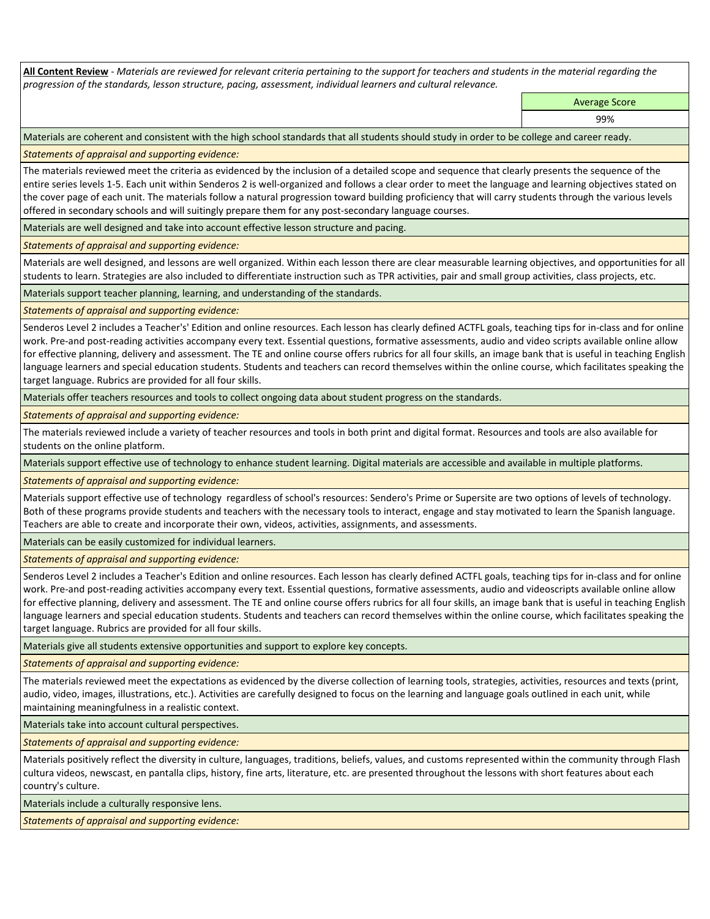**All Content Review** *- Materials are reviewed for relevant criteria pertaining to the support for teachers and students in the material regarding the progression of the standards, lesson structure, pacing, assessment, individual learners and cultural relevance.*

> Average Score 99%

Materials are coherent and consistent with the high school standards that all students should study in order to be college and career ready.

*Statements of appraisal and supporting evidence:*

The materials reviewed meet the criteria as evidenced by the inclusion of a detailed scope and sequence that clearly presents the sequence of the entire series levels 1-5. Each unit within Senderos 2 is well-organized and follows a clear order to meet the language and learning objectives stated on the cover page of each unit. The materials follow a natural progression toward building proficiency that will carry students through the various levels offered in secondary schools and will suitingly prepare them for any post-secondary language courses.

Materials are well designed and take into account effective lesson structure and pacing.

*Statements of appraisal and supporting evidence:*

Materials are well designed, and lessons are well organized. Within each lesson there are clear measurable learning objectives, and opportunities for all students to learn. Strategies are also included to differentiate instruction such as TPR activities, pair and small group activities, class projects, etc.

Materials support teacher planning, learning, and understanding of the standards.

*Statements of appraisal and supporting evidence:*

Senderos Level 2 includes a Teacher's' Edition and online resources. Each lesson has clearly defined ACTFL goals, teaching tips for in-class and for online work. Pre-and post-reading activities accompany every text. Essential questions, formative assessments, audio and video scripts available online allow for effective planning, delivery and assessment. The TE and online course offers rubrics for all four skills, an image bank that is useful in teaching English language learners and special education students. Students and teachers can record themselves within the online course, which facilitates speaking the target language. Rubrics are provided for all four skills.

Materials offer teachers resources and tools to collect ongoing data about student progress on the standards.

*Statements of appraisal and supporting evidence:*

The materials reviewed include a variety of teacher resources and tools in both print and digital format. Resources and tools are also available for students on the online platform.

Materials support effective use of technology to enhance student learning. Digital materials are accessible and available in multiple platforms.

*Statements of appraisal and supporting evidence:*

Materials support effective use of technology regardless of school's resources: Sendero's Prime or Supersite are two options of levels of technology. Both of these programs provide students and teachers with the necessary tools to interact, engage and stay motivated to learn the Spanish language. Teachers are able to create and incorporate their own, videos, activities, assignments, and assessments.

Materials can be easily customized for individual learners.

*Statements of appraisal and supporting evidence:* 

Senderos Level 2 includes a Teacher's Edition and online resources. Each lesson has clearly defined ACTFL goals, teaching tips for in-class and for online work. Pre-and post-reading activities accompany every text. Essential questions, formative assessments, audio and videoscripts available online allow for effective planning, delivery and assessment. The TE and online course offers rubrics for all four skills, an image bank that is useful in teaching English language learners and special education students. Students and teachers can record themselves within the online course, which facilitates speaking the target language. Rubrics are provided for all four skills.

Materials give all students extensive opportunities and support to explore key concepts.

*Statements of appraisal and supporting evidence:*

The materials reviewed meet the expectations as evidenced by the diverse collection of learning tools, strategies, activities, resources and texts (print, audio, video, images, illustrations, etc.). Activities are carefully designed to focus on the learning and language goals outlined in each unit, while maintaining meaningfulness in a realistic context.

Materials take into account cultural perspectives.

*Statements of appraisal and supporting evidence:*

Materials positively reflect the diversity in culture, languages, traditions, beliefs, values, and customs represented within the community through Flash cultura videos, newscast, en pantalla clips, history, fine arts, literature, etc. are presented throughout the lessons with short features about each country's culture.

Materials include a culturally responsive lens.

*Statements of appraisal and supporting evidence:*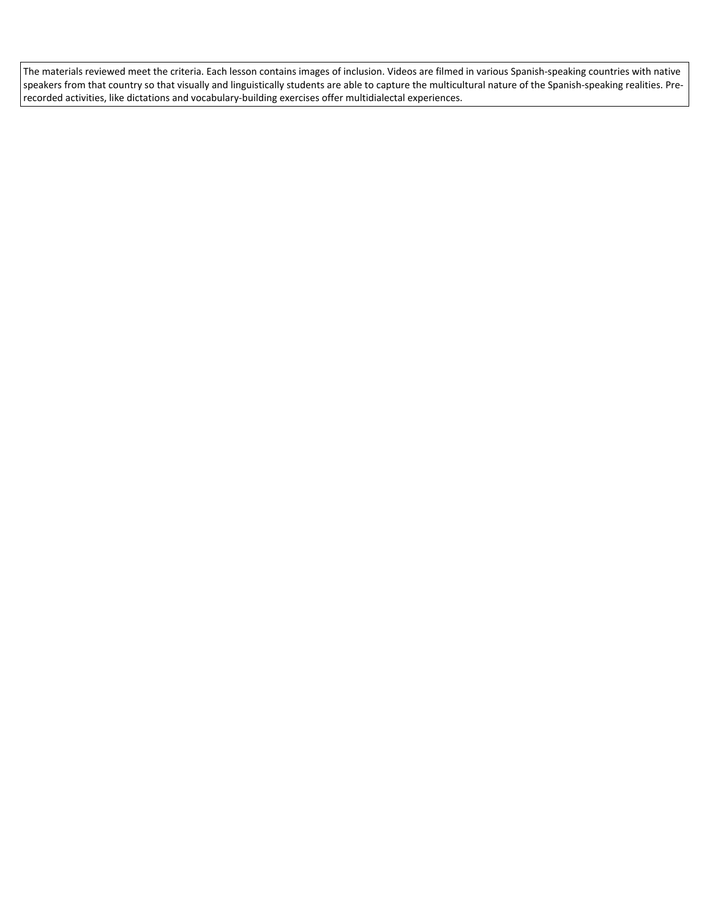The materials reviewed meet the criteria. Each lesson contains images of inclusion. Videos are filmed in various Spanish-speaking countries with native speakers from that country so that visually and linguistically students are able to capture the multicultural nature of the Spanish-speaking realities. Prerecorded activities, like dictations and vocabulary-building exercises offer multidialectal experiences.